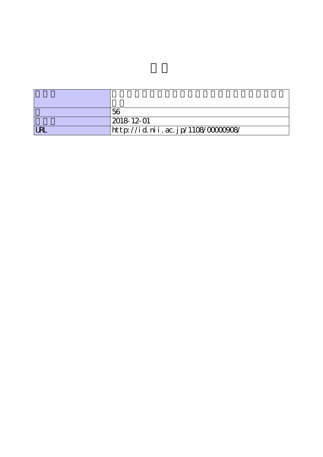|            | 56                                |
|------------|-----------------------------------|
|            | $ 2018 \t12 \t01$                 |
| <b>LRL</b> | http://id.nii.ac.jp/1108/0000908/ |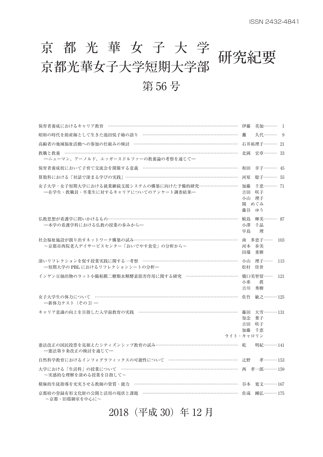# 京都光華女子大学研究紀要<br>京都光華女子大学短期大学部 第 56 号

| 保育者養成におけるキャリア教育 ………………………………………………………………………………                                          | 伊藤       | 美加……… 1                                |     |
|-----------------------------------------------------------------------------------------|----------|----------------------------------------|-----|
| 昭和の時代を助産師として生きた池田悦子姉の語り …………………………………………………………                                          | 灘        | 久代……… 9                                |     |
| 高齢者の地域福祉活動への参加の仕組みの検討 ………………………………………………………………                                          |          | 石井祐理子……… 21                            |     |
|                                                                                         |          | 北岡 宏章……… 33                            |     |
| 一ニューマン、アーノルド、エッガースドルファーの教養論の考察を通じて一                                                     |          |                                        |     |
| 保育者養成校において子育て交流会を開催する意義 …………………………………………………………                                          |          | 和田 幸子……… 45                            |     |
| 算数科における「対話で深まる学びの実践」……………………………………………………………………                                          |          | 河原 聡子……… 55                            |     |
| 女子大学・女子短期大学における就業継続支援システムの構築に向けた予備的研究………………………<br>- 一在学生・教職員・卒業生に対するキャリアについてのアンケート調査結果- | 藤谷 ゆう    | 加藤 千恵……… 71<br>吉田 咲子<br>小山 理子<br>関 めぐみ |     |
| 仏教思想が看護学に問いかけるもの………………………………………………………………………………<br>- 本学の看護学科における仏教の授業の歩みから-              | 鮫島<br>早島 | 輝美……… 87<br>小澤 千晶<br>理                 |     |
| 社会福祉施設が創り出すネットワーク構築の試み………………………………………………………………<br>~京都市西院老人デイサービスセンター「おいでやす食堂」の分析から~     |          | 南 多恵子……<br>河本 歩美<br>田端 重樹              | 103 |
| 深いリフレクションを促す授業実践に関する一考察 …………………………………………………………<br>―短期大学の PBL におけるリフレクションシートの分析―         |          | 小山 理子……<br>松村 佳世                       | 115 |
| インゲン豆抽出物のラット小腸粘膜二糖類水解酵素阻害作用に関する研究 ………………………………                                          | 小垂<br>吉川 | 橋口美智留…… 121<br>眞<br>秀樹                 |     |
| 女子大学生の体力について ……………………………………………………………………………………<br>一新体力テスト (その3)–                         |          | 佐竹 敏之 ……… 125                          |     |
| キャリア意識の向上を目指した入学前教育の実践 ……………………………………………………………<br>ライト・キャロリン                             | 知念<br>吉田 | 藤田 大雪………131<br>葉子<br>咲子<br>加藤 千恵       |     |
| 憲法改正の国民投票を見据えたシティズンシップ教育の試み…………………………………………………… 乾<br>一憲法第9条改正の検討を通じて一                   |          | 明紀………141                               |     |
| 自然科学教育におけるインフォグラフィックスの可能性について ……………………………………………… 辻野 孝………153                             |          |                                        |     |
| 大学における「生活科」の授業について ……………………………………………………………………… 西 孝一郎……… 159<br>~実感的な理解を深める授業を目指して~      |          |                                        |     |
| 積極的生徒指導を充実させる教師の資質・能力 ……………………………………………………………… 谷本 寛文………167                              |          |                                        |     |
| 京都府の登録有形文化財の公開と活用の現状と課題 ………………………………………………………………… 佐滝 剛弘……… 175<br>~京都・旧邸御室を中心に~         |          |                                        |     |
|                                                                                         |          |                                        |     |

2018(平成 30)年 12 月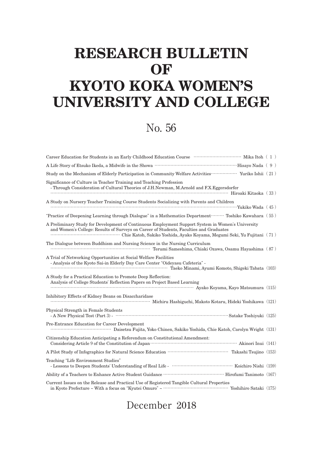## **RESEARCH BULLETIN OF KYOTO KOKA WOMEN'S UNIVERSITY AND COLLEGE**

### No. 56

| Study on the Mechanism of Elderly Participation in Community Welfare Activities……………… Yuriko Ishii (21)                                                                                               |  |
|-------------------------------------------------------------------------------------------------------------------------------------------------------------------------------------------------------|--|
| Significance of Culture in Teacher Training and Teaching Profession<br>- Through Consideration of Cultural Theories of J.H.Newman, M.Arnold and F.X.Eggersdorfer<br>Hiroaki Kitaoka (33)              |  |
| A Study on Nursery Teacher Training Course Students Socializing with Parents and Children                                                                                                             |  |
| "Practice of Deepening Learning through Dialogue" in a Mathematics Department  Toshiko Kawahara (55)                                                                                                  |  |
| A Preliminary Study for Development of Continuous Employment Support System in Women's University<br>and Women's College: Results of Surveys on Career of Students, Faculties and Graduates           |  |
| The Dialogue between Buddhism and Nursing Science in the Nursing Curriculum<br>Terumi Sameshima, Chiaki Ozawa, Osamu Hayashima (87)                                                                   |  |
| A Trial of Networking Opportunities at Social Welfare Facilities<br>- Analysis of the Kyoto Sai-in Elderly Day Care Center "Oideyasu Cafeteria" -<br>Taeko Minami, Ayumi Komoto, Shigeki Tabata (103) |  |
| A Study for a Practical Education to Promote Deep Reflection:<br>Analysis of College Students' Reflection Papers on Project Based Learning<br>Ayako Koyama, Kayo Matsumura (115)                      |  |
| Inhibitory Effects of Kidney Beans on Disaccharidase<br>Michiru Hashiguchi, Makoto Kotaru, Hideki Yoshikawa (121)                                                                                     |  |
| Physical Strength in Female Students                                                                                                                                                                  |  |
| Pre-Entrance Education for Career Development                                                                                                                                                         |  |
| Citizenship Education Anticipating a Referendum on Constitutional Amendment:                                                                                                                          |  |
|                                                                                                                                                                                                       |  |
| Teaching "Life Environment Studies"                                                                                                                                                                   |  |
|                                                                                                                                                                                                       |  |
| Current Issues on the Release and Practical Use of Registered Tangible Cultural Properties                                                                                                            |  |

#### December 2018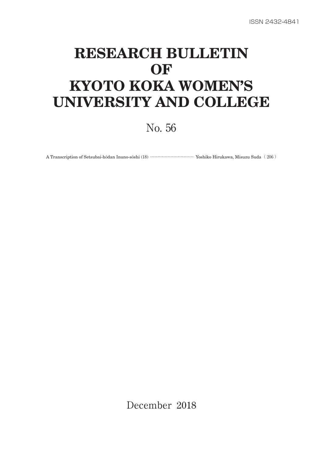## **RESEARCH BULLETIN OF KYOTO KOKA WOMEN'S UNIVERSITY AND COLLEGE**

No. 56

A Transcription of Setsubai-hōdan Inuno-sōshi (18) ………………………… Yoshiko Hirukawa, Misuzu Suda( 206 )

December 2018